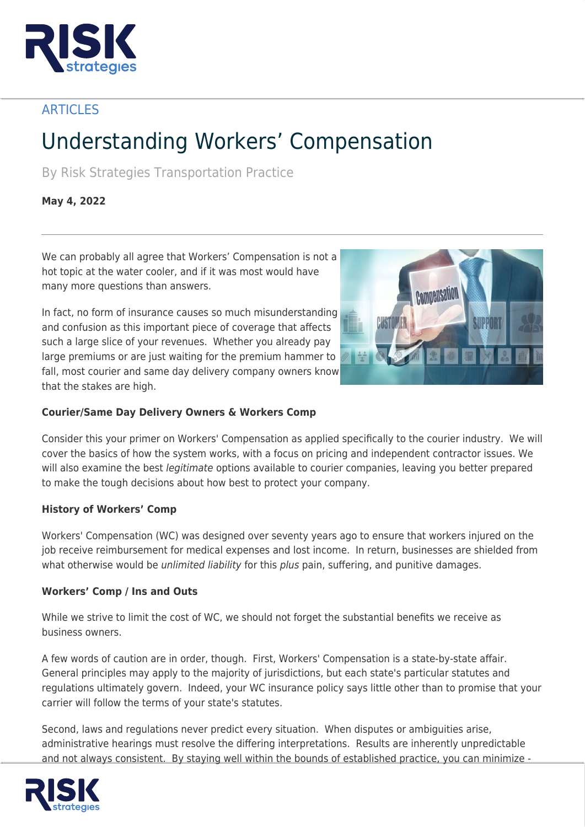

# **ARTICLES**

# Understanding Workers' Compensation

By Risk Strategies Transportation Practice

# **May 4, 2022**

We can probably all agree that Workers' Compensation is not a hot topic at the water cooler, and if it was most would have many more questions than answers.

In fact, no form of insurance causes so much misunderstanding and confusion as this important piece of coverage that affects such a large slice of your revenues. Whether you already pay large premiums or are just waiting for the premium hammer to fall, most courier and same day delivery company owners know that the stakes are high.



# **Courier/Same Day Delivery Owners & Workers Comp**

Consider this your primer on Workers' Compensation as applied specifically to the courier industry. We will cover the basics of how the system works, with a focus on pricing and independent contractor issues. We will also examine the best *legitimate* options available to courier companies, leaving you better prepared to make the tough decisions about how best to protect your company.

### **History of Workers' Comp**

Workers' Compensation (WC) was designed over seventy years ago to ensure that workers injured on the job receive reimbursement for medical expenses and lost income. In return, businesses are shielded from what otherwise would be *unlimited liability* for this *plus* pain, suffering, and punitive damages.

### **Workers' Comp / Ins and Outs**

While we strive to limit the cost of WC, we should not forget the substantial benefits we receive as business owners.

A few words of caution are in order, though. First, Workers' Compensation is a state-by-state affair. General principles may apply to the majority of jurisdictions, but each state's particular statutes and regulations ultimately govern. Indeed, your WC insurance policy says little other than to promise that your carrier will follow the terms of your state's statutes.

Second, laws and regulations never predict every situation. When disputes or ambiguities arise, administrative hearings must resolve the differing interpretations. Results are inherently unpredictable and not always consistent. By staying well within the bounds of established practice, you can minimize -